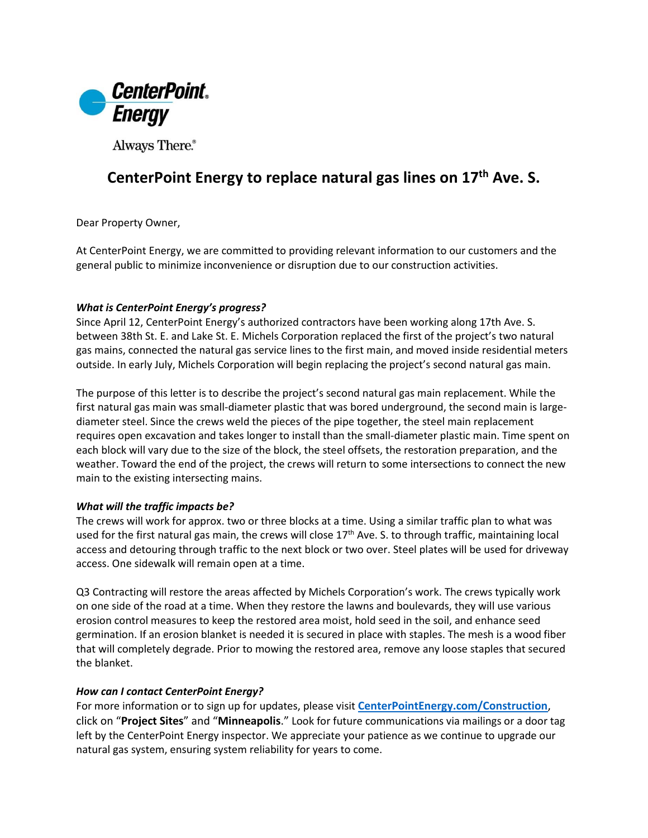

Always There.®

## **CenterPoint Energy to replace natural gas lines on 17th Ave. S.**

Dear Property Owner,

At CenterPoint Energy, we are committed to providing relevant information to our customers and the general public to minimize inconvenience or disruption due to our construction activities.

### *What is CenterPoint Energy's progress?*

Since April 12, CenterPoint Energy's authorized contractors have been working along 17th Ave. S. between 38th St. E. and Lake St. E. Michels Corporation replaced the first of the project's two natural gas mains, connected the natural gas service lines to the first main, and moved inside residential meters outside. In early July, Michels Corporation will begin replacing the project's second natural gas main.

The purpose of this letter is to describe the project's second natural gas main replacement. While the first natural gas main was small-diameter plastic that was bored underground, the second main is largediameter steel. Since the crews weld the pieces of the pipe together, the steel main replacement requires open excavation and takes longer to install than the small-diameter plastic main. Time spent on each block will vary due to the size of the block, the steel offsets, the restoration preparation, and the weather. Toward the end of the project, the crews will return to some intersections to connect the new main to the existing intersecting mains.

#### *What will the traffic impacts be?*

The crews will work for approx. two or three blocks at a time. Using a similar traffic plan to what was used for the first natural gas main, the crews will close 17<sup>th</sup> Ave. S. to through traffic, maintaining local access and detouring through traffic to the next block or two over. Steel plates will be used for driveway access. One sidewalk will remain open at a time.

Q3 Contracting will restore the areas affected by Michels Corporation's work. The crews typically work on one side of the road at a time. When they restore the lawns and boulevards, they will use various erosion control measures to keep the restored area moist, hold seed in the soil, and enhance seed germination. If an erosion blanket is needed it is secured in place with staples. The mesh is a wood fiber that will completely degrade. Prior to mowing the restored area, remove any loose staples that secured the blanket.

#### *How can I contact CenterPoint Energy?*

For more information or to sign up for updates, please visit **[CenterPointEnergy.com/Construction](http://www.centerpointenergy.com/Construction)**, click on "**Project Sites**" and "**Minneapolis**." Look for future communications via mailings or a door tag left by the CenterPoint Energy inspector. We appreciate your patience as we continue to upgrade our natural gas system, ensuring system reliability for years to come.